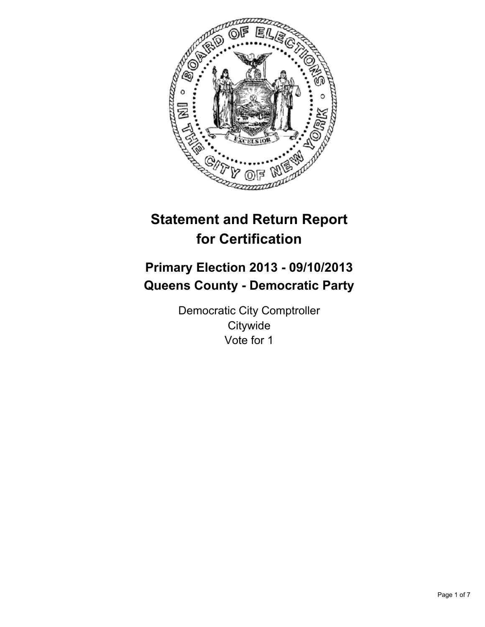

# **Statement and Return Report for Certification**

# **Primary Election 2013 - 09/10/2013 Queens County - Democratic Party**

Democratic City Comptroller **Citywide** Vote for 1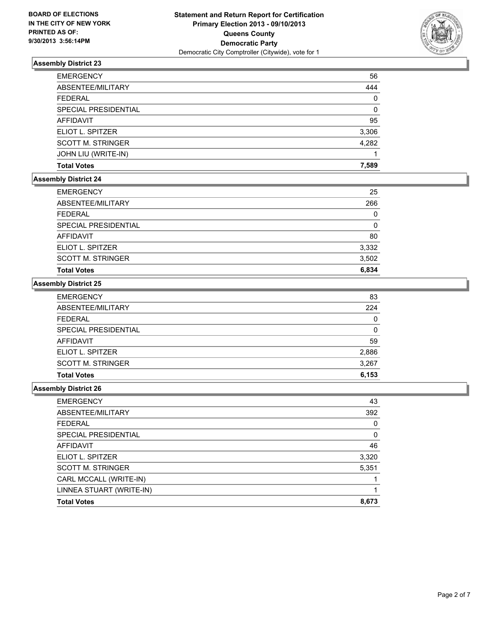

| <b>EMERGENCY</b>         | 56    |
|--------------------------|-------|
| ABSENTEE/MILITARY        | 444   |
| <b>FEDERAL</b>           | 0     |
| SPECIAL PRESIDENTIAL     | 0     |
| <b>AFFIDAVIT</b>         | 95    |
| ELIOT L. SPITZER         | 3,306 |
| <b>SCOTT M. STRINGER</b> | 4,282 |
| JOHN LIU (WRITE-IN)      |       |
| <b>Total Votes</b>       | 7.589 |

## **Assembly District 24**

| <b>EMERGENCY</b>         | 25    |
|--------------------------|-------|
| ABSENTEE/MILITARY        | 266   |
| <b>FEDERAL</b>           | 0     |
| SPECIAL PRESIDENTIAL     | 0     |
| AFFIDAVIT                | 80    |
| ELIOT L. SPITZER         | 3,332 |
| <b>SCOTT M. STRINGER</b> | 3,502 |
| <b>Total Votes</b>       | 6,834 |

## **Assembly District 25**

| <b>Total Votes</b>       | 6,153 |
|--------------------------|-------|
| <b>SCOTT M. STRINGER</b> | 3,267 |
| ELIOT L. SPITZER         | 2,886 |
| <b>AFFIDAVIT</b>         | 59    |
| SPECIAL PRESIDENTIAL     | 0     |
| <b>FEDERAL</b>           | 0     |
| ABSENTEE/MILITARY        | 224   |
| <b>EMERGENCY</b>         | 83    |

| <b>EMERGENCY</b>         | 43    |
|--------------------------|-------|
| ABSENTEE/MILITARY        | 392   |
| <b>FEDERAL</b>           | 0     |
| SPECIAL PRESIDENTIAL     | 0     |
| <b>AFFIDAVIT</b>         | 46    |
| ELIOT L. SPITZER         | 3,320 |
| <b>SCOTT M. STRINGER</b> | 5,351 |
| CARL MCCALL (WRITE-IN)   |       |
| LINNEA STUART (WRITE-IN) |       |
| <b>Total Votes</b>       | 8,673 |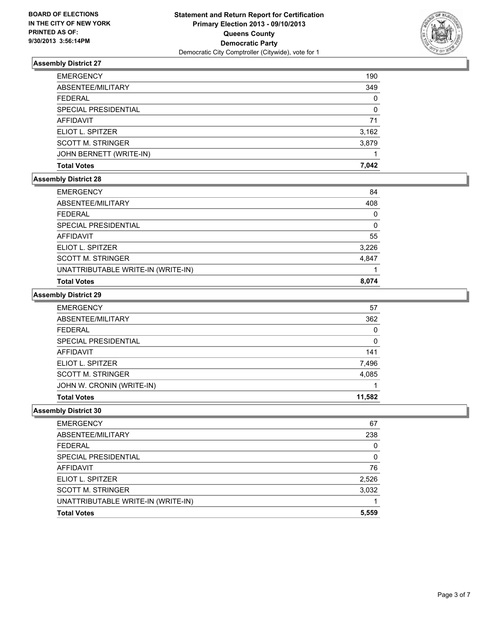

| <b>EMERGENCY</b>         | 190   |
|--------------------------|-------|
| ABSENTEE/MILITARY        | 349   |
| <b>FEDERAL</b>           | 0     |
| SPECIAL PRESIDENTIAL     | 0     |
| <b>AFFIDAVIT</b>         | 71    |
| ELIOT L. SPITZER         | 3,162 |
| <b>SCOTT M. STRINGER</b> | 3,879 |
| JOHN BERNETT (WRITE-IN)  |       |
| <b>Total Votes</b>       | 7.042 |

## **Assembly District 28**

| <b>Total Votes</b>                 | 8.074 |
|------------------------------------|-------|
| UNATTRIBUTABLE WRITE-IN (WRITE-IN) |       |
| <b>SCOTT M. STRINGER</b>           | 4,847 |
| ELIOT L. SPITZER                   | 3,226 |
| AFFIDAVIT                          | 55    |
| SPECIAL PRESIDENTIAL               | 0     |
| FEDERAL                            | 0     |
| ABSENTEE/MILITARY                  | 408   |
| <b>EMERGENCY</b>                   | 84    |

#### **Assembly District 29**

| <b>EMERGENCY</b>          | 57     |
|---------------------------|--------|
| ABSENTEE/MILITARY         | 362    |
| <b>FEDERAL</b>            | 0      |
| SPECIAL PRESIDENTIAL      | 0      |
| AFFIDAVIT                 | 141    |
| ELIOT L. SPITZER          | 7,496  |
| <b>SCOTT M. STRINGER</b>  | 4,085  |
| JOHN W. CRONIN (WRITE-IN) |        |
| <b>Total Votes</b>        | 11.582 |

| <b>EMERGENCY</b>                   | 67    |
|------------------------------------|-------|
| ABSENTEE/MILITARY                  | 238   |
| <b>FEDERAL</b>                     | 0     |
| SPECIAL PRESIDENTIAL               | 0     |
| AFFIDAVIT                          | 76    |
| ELIOT L. SPITZER                   | 2,526 |
| <b>SCOTT M. STRINGER</b>           | 3,032 |
| UNATTRIBUTABLE WRITE-IN (WRITE-IN) |       |
| <b>Total Votes</b>                 | 5,559 |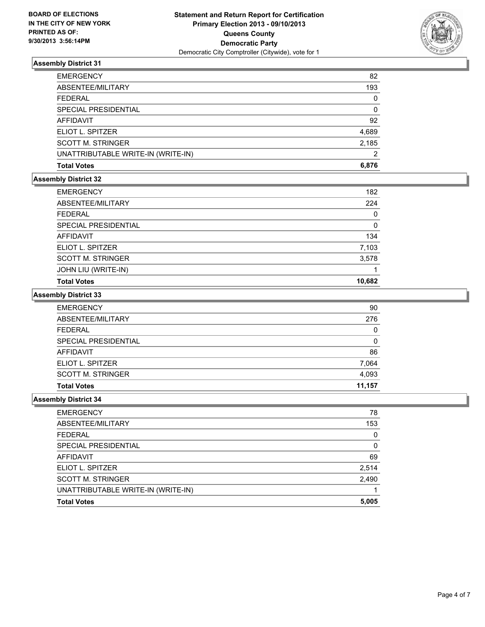

| <b>EMERGENCY</b>                   | 82    |
|------------------------------------|-------|
| ABSENTEE/MILITARY                  | 193   |
| <b>FEDERAL</b>                     | 0     |
| SPECIAL PRESIDENTIAL               | 0     |
| AFFIDAVIT                          | 92    |
| ELIOT L. SPITZER                   | 4,689 |
| <b>SCOTT M. STRINGER</b>           | 2,185 |
| UNATTRIBUTABLE WRITE-IN (WRITE-IN) | 2     |
| <b>Total Votes</b>                 | 6.876 |

## **Assembly District 32**

| <b>EMERGENCY</b>         | 182    |
|--------------------------|--------|
| ABSENTEE/MILITARY        | 224    |
| <b>FEDERAL</b>           | 0      |
| SPECIAL PRESIDENTIAL     | 0      |
| AFFIDAVIT                | 134    |
| ELIOT L. SPITZER         | 7,103  |
| <b>SCOTT M. STRINGER</b> | 3,578  |
| JOHN LIU (WRITE-IN)      |        |
| <b>Total Votes</b>       | 10,682 |

#### **Assembly District 33**

| <b>EMERGENCY</b>         | 90     |
|--------------------------|--------|
| ABSENTEE/MILITARY        | 276    |
| <b>FEDERAL</b>           | 0      |
| SPECIAL PRESIDENTIAL     | 0      |
| <b>AFFIDAVIT</b>         | 86     |
| ELIOT L. SPITZER         | 7,064  |
| <b>SCOTT M. STRINGER</b> | 4,093  |
| <b>Total Votes</b>       | 11.157 |

| <b>EMERGENCY</b>                   | 78           |
|------------------------------------|--------------|
| ABSENTEE/MILITARY                  | 153          |
| <b>FEDERAL</b>                     | <sup>0</sup> |
| SPECIAL PRESIDENTIAL               | <sup>0</sup> |
| <b>AFFIDAVIT</b>                   | 69           |
| ELIOT L. SPITZER                   | 2,514        |
| <b>SCOTT M. STRINGER</b>           | 2,490        |
| UNATTRIBUTABLE WRITE-IN (WRITE-IN) |              |
| <b>Total Votes</b>                 | 5,005        |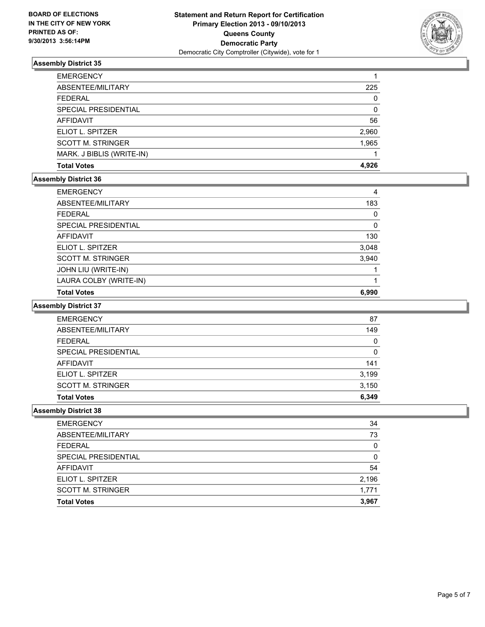

| <b>EMERGENCY</b>          |       |
|---------------------------|-------|
| ABSENTEE/MILITARY         | 225   |
| FEDERAL                   | 0     |
| SPECIAL PRESIDENTIAL      | 0     |
| <b>AFFIDAVIT</b>          | 56    |
| ELIOT L. SPITZER          | 2,960 |
| <b>SCOTT M. STRINGER</b>  | 1,965 |
| MARK. J BIBLIS (WRITE-IN) |       |
| <b>Total Votes</b>        | 4.926 |

## **Assembly District 36**

| <b>EMERGENCY</b>         | 4     |
|--------------------------|-------|
| ABSENTEE/MILITARY        | 183   |
| <b>FFDFRAL</b>           | 0     |
| SPECIAL PRESIDENTIAL     | 0     |
| <b>AFFIDAVIT</b>         | 130   |
| ELIOT L. SPITZER         | 3,048 |
| <b>SCOTT M. STRINGER</b> | 3,940 |
| JOHN LIU (WRITE-IN)      |       |
| LAURA COLBY (WRITE-IN)   |       |
| <b>Total Votes</b>       | 6.990 |

## **Assembly District 37**

| <b>EMERGENCY</b>         | 87       |
|--------------------------|----------|
| ABSENTEE/MILITARY        | 149      |
| <b>FEDERAL</b>           | $\Omega$ |
| SPECIAL PRESIDENTIAL     | 0        |
| <b>AFFIDAVIT</b>         | 141      |
| ELIOT L. SPITZER         | 3,199    |
| <b>SCOTT M. STRINGER</b> | 3,150    |
| <b>Total Votes</b>       | 6.349    |

| <b>EMERGENCY</b>         | 34    |
|--------------------------|-------|
| ABSENTEE/MILITARY        | 73    |
| <b>FEDERAL</b>           | 0     |
| SPECIAL PRESIDENTIAL     | 0     |
| <b>AFFIDAVIT</b>         | 54    |
| ELIOT L. SPITZER         | 2,196 |
| <b>SCOTT M. STRINGER</b> | 1.771 |
| <b>Total Votes</b>       | 3,967 |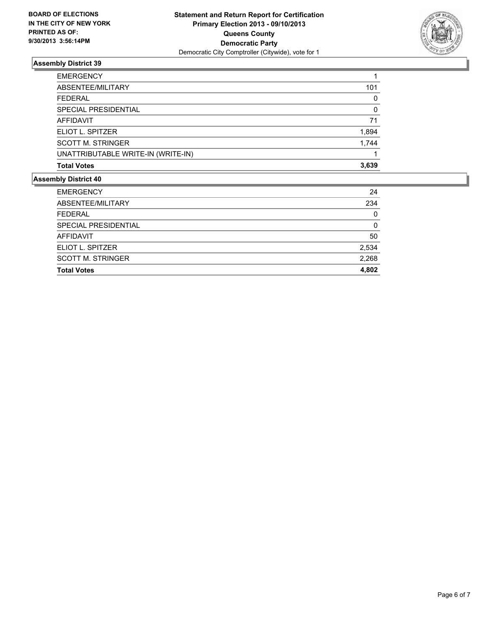

| 101      |
|----------|
| 0        |
| $\Omega$ |
| 71       |
| 1,894    |
| 1.744    |
|          |
| 3,639    |
|          |

| <b>EMERGENCY</b>         | 24    |
|--------------------------|-------|
| ABSENTEE/MILITARY        | 234   |
| <b>FEDERAL</b>           | 0     |
| SPECIAL PRESIDENTIAL     | O     |
| AFFIDAVIT                | 50    |
| ELIOT L. SPITZER         | 2,534 |
| <b>SCOTT M. STRINGER</b> | 2,268 |
| <b>Total Votes</b>       | 4,802 |